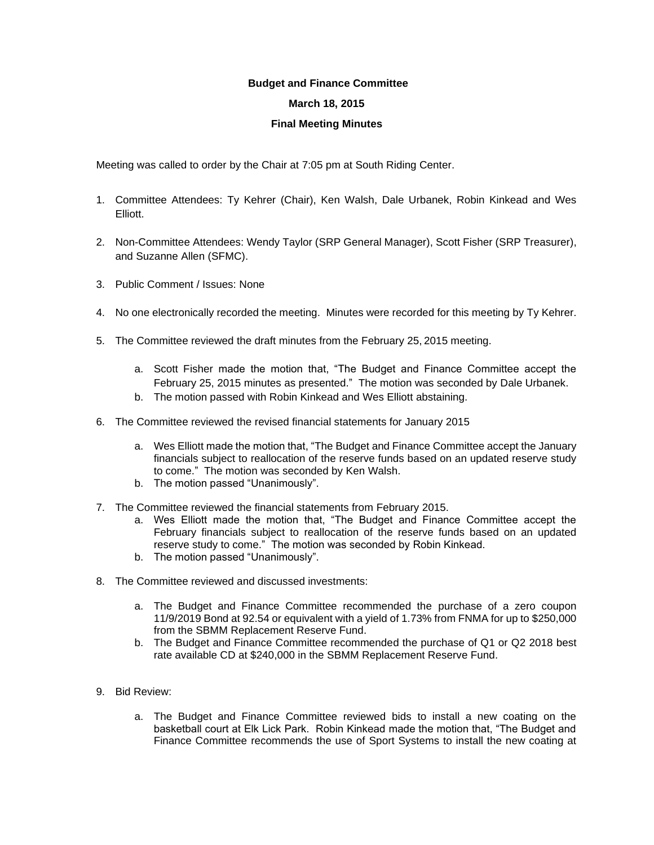## **Budget and Finance Committee March 18, 2015**

## **Final Meeting Minutes**

Meeting was called to order by the Chair at 7:05 pm at South Riding Center.

- 1. Committee Attendees: Ty Kehrer (Chair), Ken Walsh, Dale Urbanek, Robin Kinkead and Wes Elliott.
- 2. Non-Committee Attendees: Wendy Taylor (SRP General Manager), Scott Fisher (SRP Treasurer), and Suzanne Allen (SFMC).
- 3. Public Comment / Issues: None
- 4. No one electronically recorded the meeting. Minutes were recorded for this meeting by Ty Kehrer.
- 5. The Committee reviewed the draft minutes from the February 25, 2015 meeting.
	- a. Scott Fisher made the motion that, "The Budget and Finance Committee accept the February 25, 2015 minutes as presented." The motion was seconded by Dale Urbanek.
	- b. The motion passed with Robin Kinkead and Wes Elliott abstaining.
- 6. The Committee reviewed the revised financial statements for January 2015
	- a. Wes Elliott made the motion that, "The Budget and Finance Committee accept the January financials subject to reallocation of the reserve funds based on an updated reserve study to come." The motion was seconded by Ken Walsh.
	- b. The motion passed "Unanimously".
- 7. The Committee reviewed the financial statements from February 2015.
	- a. Wes Elliott made the motion that, "The Budget and Finance Committee accept the February financials subject to reallocation of the reserve funds based on an updated reserve study to come." The motion was seconded by Robin Kinkead.
	- b. The motion passed "Unanimously".
- 8. The Committee reviewed and discussed investments:
	- a. The Budget and Finance Committee recommended the purchase of a zero coupon 11/9/2019 Bond at 92.54 or equivalent with a yield of 1.73% from FNMA for up to \$250,000 from the SBMM Replacement Reserve Fund.
	- b. The Budget and Finance Committee recommended the purchase of Q1 or Q2 2018 best rate available CD at \$240,000 in the SBMM Replacement Reserve Fund.
- 9. Bid Review:
	- a. The Budget and Finance Committee reviewed bids to install a new coating on the basketball court at Elk Lick Park. Robin Kinkead made the motion that, "The Budget and Finance Committee recommends the use of Sport Systems to install the new coating at